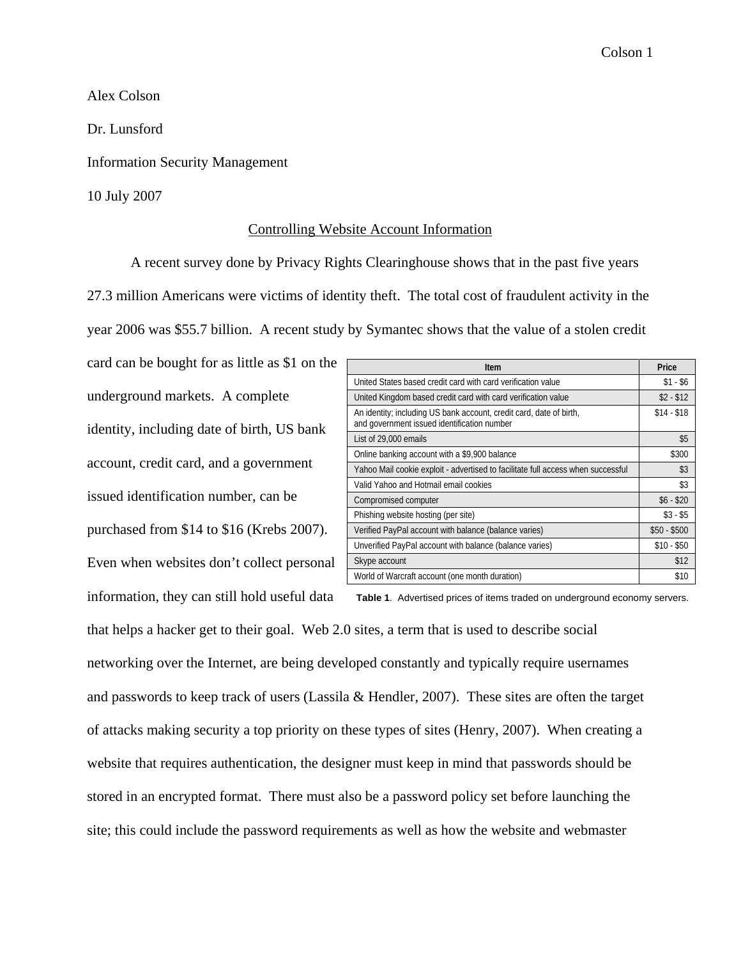Alex Colson

Dr. Lunsford

Information Security Management

10 July 2007

## Controlling Website Account Information

A recent survey done by Privacy Rights Clearinghouse shows that in the past five years 27.3 million Americans were victims of identity theft. The total cost of fraudulent activity in the year 2006 was \$55.7 billion. A recent study by Symantec shows that the value of a stolen credit

card can be bought for as little as \$1 on the underground markets. A complete identity, including date of birth, US bank account, credit card, and a government issued identification number, can be purchased from \$14 to \$16 (Krebs 2007). Even when websites don't collect personal information, they can still hold useful data

| Item                                                                                                               | Price        |
|--------------------------------------------------------------------------------------------------------------------|--------------|
| United States based credit card with card verification value                                                       | $$1 - $6$    |
| United Kingdom based credit card with card verification value                                                      | $$2 - $12$   |
| An identity; including US bank account, credit card, date of birth,<br>and government issued identification number | $$14 - $18$  |
| List of 29,000 emails                                                                                              | \$5          |
| Online banking account with a \$9,900 balance                                                                      | \$300        |
| Yahoo Mail cookie exploit - advertised to facilitate full access when successful                                   | \$3          |
| Valid Yahoo and Hotmail email cookies                                                                              | \$3          |
| Compromised computer                                                                                               | $$6 - $20$   |
| Phishing website hosting (per site)                                                                                | $$3 - $5$    |
| Verified PayPal account with balance (balance varies)                                                              | $$50 - $500$ |
| Unverified PayPal account with balance (balance varies)                                                            | $$10 - $50$  |
| Skype account                                                                                                      | \$12         |
| World of Warcraft account (one month duration)                                                                     | \$10         |

**Table 1**. Advertised prices of items traded on underground economy servers.

that helps a hacker get to their goal. Web 2.0 sites, a term that is used to describe social networking over the Internet, are being developed constantly and typically require usernames and passwords to keep track of users (Lassila & Hendler, 2007). These sites are often the target of attacks making security a top priority on these types of sites (Henry, 2007). When creating a website that requires authentication, the designer must keep in mind that passwords should be stored in an encrypted format. There must also be a password policy set before launching the site; this could include the password requirements as well as how the website and webmaster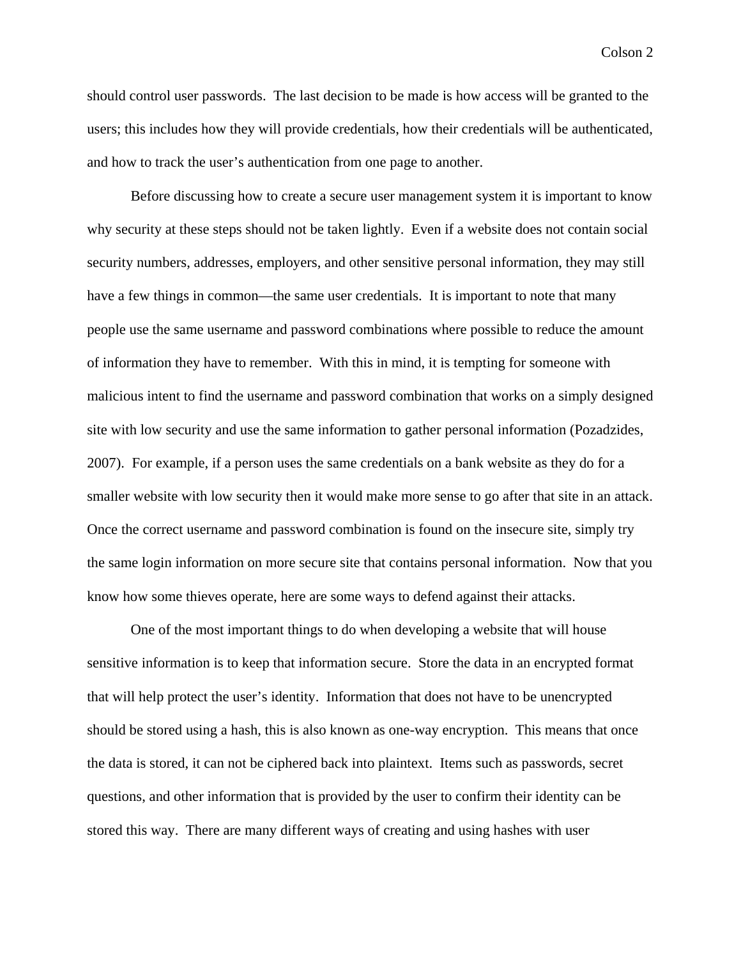should control user passwords. The last decision to be made is how access will be granted to the users; this includes how they will provide credentials, how their credentials will be authenticated, and how to track the user's authentication from one page to another.

Before discussing how to create a secure user management system it is important to know why security at these steps should not be taken lightly. Even if a website does not contain social security numbers, addresses, employers, and other sensitive personal information, they may still have a few things in common—the same user credentials. It is important to note that many people use the same username and password combinations where possible to reduce the amount of information they have to remember. With this in mind, it is tempting for someone with malicious intent to find the username and password combination that works on a simply designed site with low security and use the same information to gather personal information (Pozadzides, 2007). For example, if a person uses the same credentials on a bank website as they do for a smaller website with low security then it would make more sense to go after that site in an attack. Once the correct username and password combination is found on the insecure site, simply try the same login information on more secure site that contains personal information. Now that you know how some thieves operate, here are some ways to defend against their attacks.

One of the most important things to do when developing a website that will house sensitive information is to keep that information secure. Store the data in an encrypted format that will help protect the user's identity. Information that does not have to be unencrypted should be stored using a hash, this is also known as one-way encryption. This means that once the data is stored, it can not be ciphered back into plaintext. Items such as passwords, secret questions, and other information that is provided by the user to confirm their identity can be stored this way. There are many different ways of creating and using hashes with user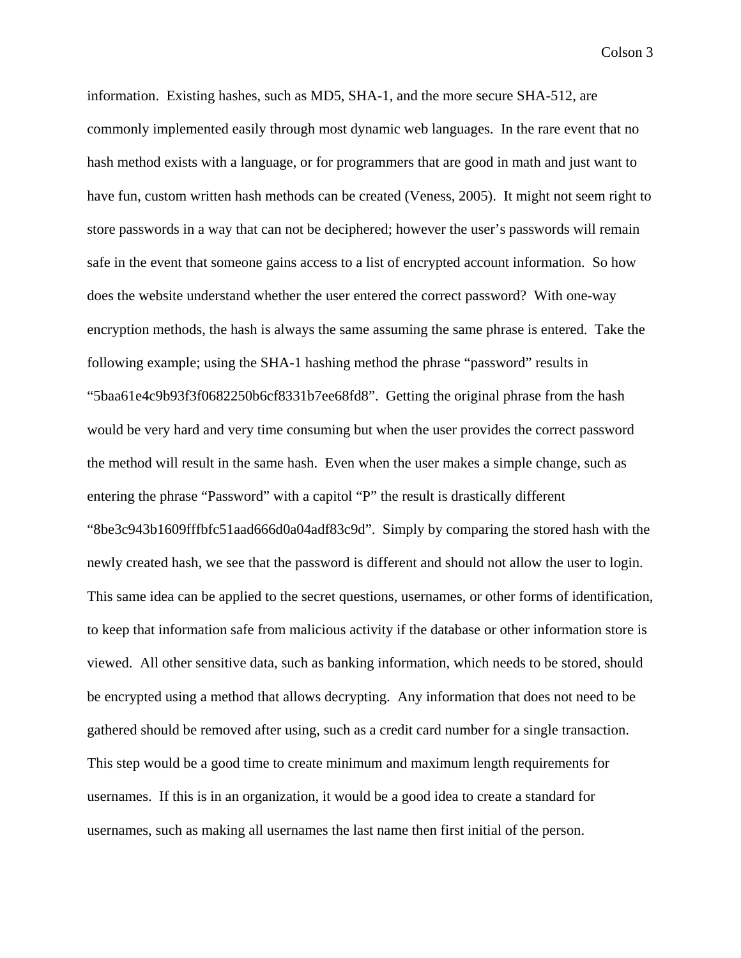information. Existing hashes, such as MD5, SHA-1, and the more secure SHA-512, are commonly implemented easily through most dynamic web languages. In the rare event that no hash method exists with a language, or for programmers that are good in math and just want to have fun, custom written hash methods can be created (Veness, 2005). It might not seem right to store passwords in a way that can not be deciphered; however the user's passwords will remain safe in the event that someone gains access to a list of encrypted account information. So how does the website understand whether the user entered the correct password? With one-way encryption methods, the hash is always the same assuming the same phrase is entered. Take the following example; using the SHA-1 hashing method the phrase "password" results in "5baa61e4c9b93f3f0682250b6cf8331b7ee68fd8". Getting the original phrase from the hash would be very hard and very time consuming but when the user provides the correct password the method will result in the same hash. Even when the user makes a simple change, such as entering the phrase "Password" with a capitol "P" the result is drastically different "8be3c943b1609fffbfc51aad666d0a04adf83c9d". Simply by comparing the stored hash with the newly created hash, we see that the password is different and should not allow the user to login. This same idea can be applied to the secret questions, usernames, or other forms of identification, to keep that information safe from malicious activity if the database or other information store is viewed. All other sensitive data, such as banking information, which needs to be stored, should be encrypted using a method that allows decrypting. Any information that does not need to be gathered should be removed after using, such as a credit card number for a single transaction. This step would be a good time to create minimum and maximum length requirements for usernames. If this is in an organization, it would be a good idea to create a standard for usernames, such as making all usernames the last name then first initial of the person.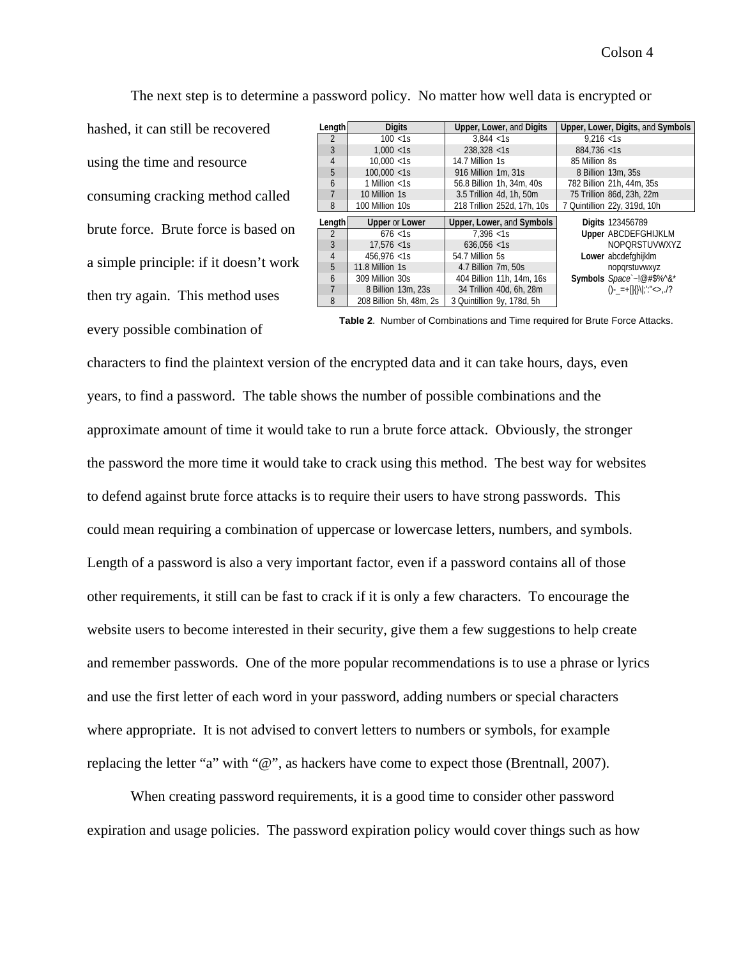The next step is to determine a password policy. No matter how well data is encrypted or

hashed, it can still be recovered using the time and resource consuming cracking method called brute force. Brute force is based on a simple principle: if it doesn't work then try again. This method uses every possible combination of

| Length         | <b>Digits</b>         | Upper, Lower, and Digits    | Upper, Lower, Digits, and Symbols |
|----------------|-----------------------|-----------------------------|-----------------------------------|
|                |                       |                             |                                   |
| $\overline{2}$ | $100 \le 1s$          | 3.844 < 1s                  | 9.216 < 1s                        |
| 3              | 1.000 < 1s            | 238.328 < 1s                | 884.736 < 1s                      |
| 4              | 10.000 < 1s           | 14.7 Million 1s             | 85 Million 8s                     |
| 5              | 100.000 < 1s          | 916 Million 1m, 31s         | 8 Billion 13m, 35s                |
| 6              | 1 Million $<$ 1s      | 56.8 Billion 1h, 34m, 40s   | 782 Billion 21h, 44m, 35s         |
|                | 10 Million 1s         | 3.5 Trillion 4d, 1h, 50m    | 75 Trillion 86d, 23h, 22m         |
| 8              | 100 Million 10s       | 218 Trillion 252d, 17h, 10s | 7 Quintillion 22y, 319d, 10h      |
|                |                       |                             |                                   |
|                |                       |                             |                                   |
| Length         | <b>Upper or Lower</b> | Upper, Lower, and Symbols   | <b>Digits 123456789</b>           |
| $\overline{2}$ | $676$ <1s             | 7.396 < 1s                  | <b>Upper ABCDEFGHIJKLM</b>        |
| 3              | $17.576 <$ -1s        | 636.056 < 1s                | NOPORSTUVWXYZ                     |
| $\overline{4}$ | $456.976 <$ 1s        | 54.7 Million 5s             | Lower abcdefghijklm               |
| 5              | 11.8 Million 1s       | 4.7 Billion 7m, 50s         | nopgrstuvwxyz                     |
| 6              | 309 Million 30s       | 404 Billion 11h, 14m, 16s   | Symbols Space ~!@#\$%^&*          |
|                | 8 Billion 13m, 23s    | 34 Trillion 40d, 6h, 28m    | $()$ -_=+[[{}\ ;';"<>,./?         |

**Table 2**. Number of Combinations and Time required for Brute Force Attacks.

characters to find the plaintext version of the encrypted data and it can take hours, days, even years, to find a password. The table shows the number of possible combinations and the approximate amount of time it would take to run a brute force attack. Obviously, the stronger the password the more time it would take to crack using this method. The best way for websites to defend against brute force attacks is to require their users to have strong passwords. This could mean requiring a combination of uppercase or lowercase letters, numbers, and symbols. Length of a password is also a very important factor, even if a password contains all of those other requirements, it still can be fast to crack if it is only a few characters. To encourage the website users to become interested in their security, give them a few suggestions to help create and remember passwords. One of the more popular recommendations is to use a phrase or lyrics and use the first letter of each word in your password, adding numbers or special characters where appropriate. It is not advised to convert letters to numbers or symbols, for example replacing the letter "a" with "@", as hackers have come to expect those (Brentnall, 2007).

When creating password requirements, it is a good time to consider other password expiration and usage policies. The password expiration policy would cover things such as how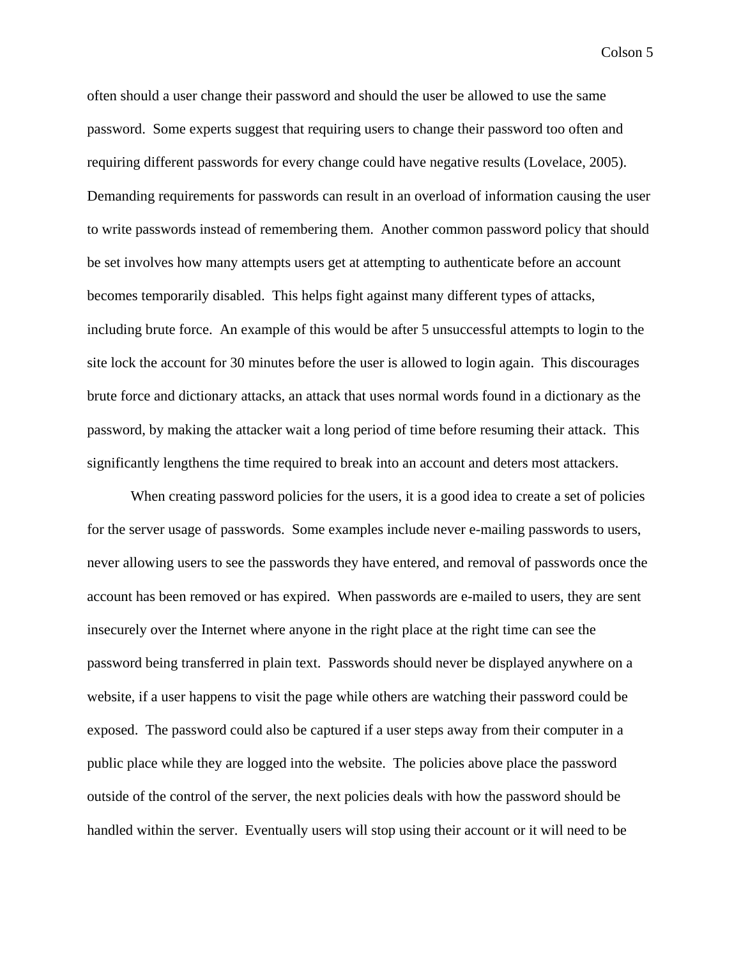often should a user change their password and should the user be allowed to use the same password. Some experts suggest that requiring users to change their password too often and requiring different passwords for every change could have negative results (Lovelace, 2005). Demanding requirements for passwords can result in an overload of information causing the user to write passwords instead of remembering them. Another common password policy that should be set involves how many attempts users get at attempting to authenticate before an account becomes temporarily disabled. This helps fight against many different types of attacks, including brute force. An example of this would be after 5 unsuccessful attempts to login to the site lock the account for 30 minutes before the user is allowed to login again. This discourages brute force and dictionary attacks, an attack that uses normal words found in a dictionary as the password, by making the attacker wait a long period of time before resuming their attack. This significantly lengthens the time required to break into an account and deters most attackers.

When creating password policies for the users, it is a good idea to create a set of policies for the server usage of passwords. Some examples include never e-mailing passwords to users, never allowing users to see the passwords they have entered, and removal of passwords once the account has been removed or has expired. When passwords are e-mailed to users, they are sent insecurely over the Internet where anyone in the right place at the right time can see the password being transferred in plain text. Passwords should never be displayed anywhere on a website, if a user happens to visit the page while others are watching their password could be exposed. The password could also be captured if a user steps away from their computer in a public place while they are logged into the website. The policies above place the password outside of the control of the server, the next policies deals with how the password should be handled within the server. Eventually users will stop using their account or it will need to be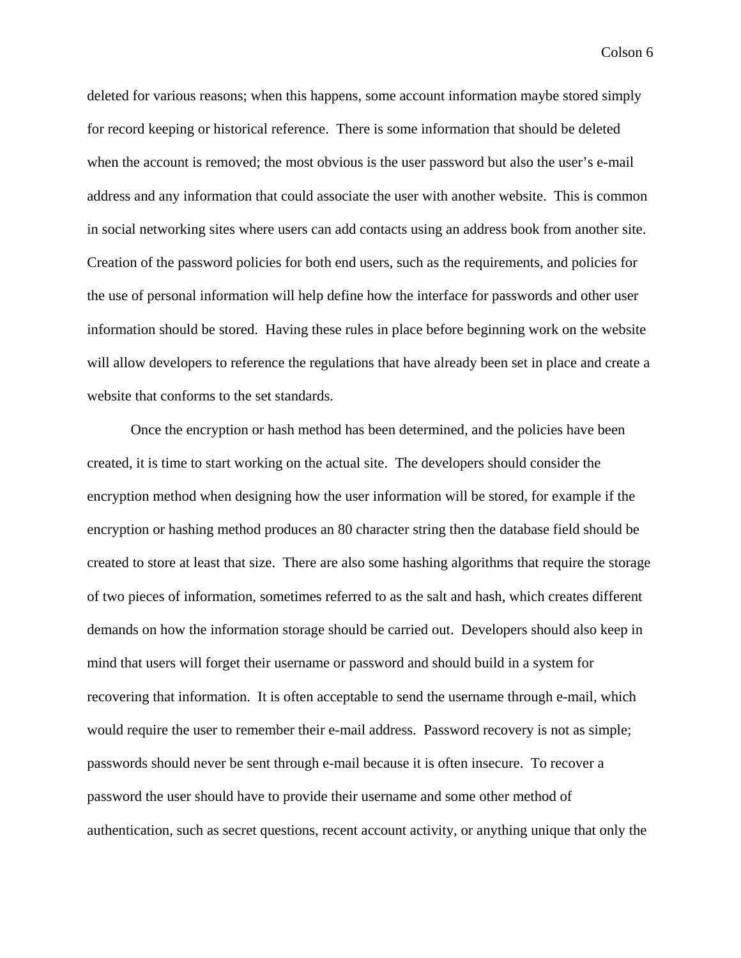deleted for various reasons; when this happens, some account information maybe stored simply for record keeping or historical reference. There is some information that should be deleted when the account is removed; the most obvious is the user password but also the user's e-mail address and any information that could associate the user with another website. This is common in social networking sites where users can add contacts using an address book from another site. Creation of the password policies for both end users, such as the requirements, and policies for the use of personal information will help define how the interface for passwords and other user information should be stored. Having these rules in place before beginning work on the website will allow developers to reference the regulations that have already been set in place and create a website that conforms to the set standards.

Once the encryption or hash method has been determined, and the policies have been created, it is time to start working on the actual site. The developers should consider the encryption method when designing how the user information will be stored, for example if the encryption or hashing method produces an 80 character string then the database field should be created to store at least that size. There are also some hashing algorithms that require the storage of two pieces of information, sometimes referred to as the salt and hash, which creates different demands on how the information storage should be carried out. Developers should also keep in mind that users will forget their username or password and should build in a system for recovering that information. It is often acceptable to send the username through e-mail, which would require the user to remember their e-mail address. Password recovery is not as simple; passwords should never be sent through e-mail because it is often insecure. To recover a password the user should have to provide their username and some other method of authentication, such as secret questions, recent account activity, or anything unique that only the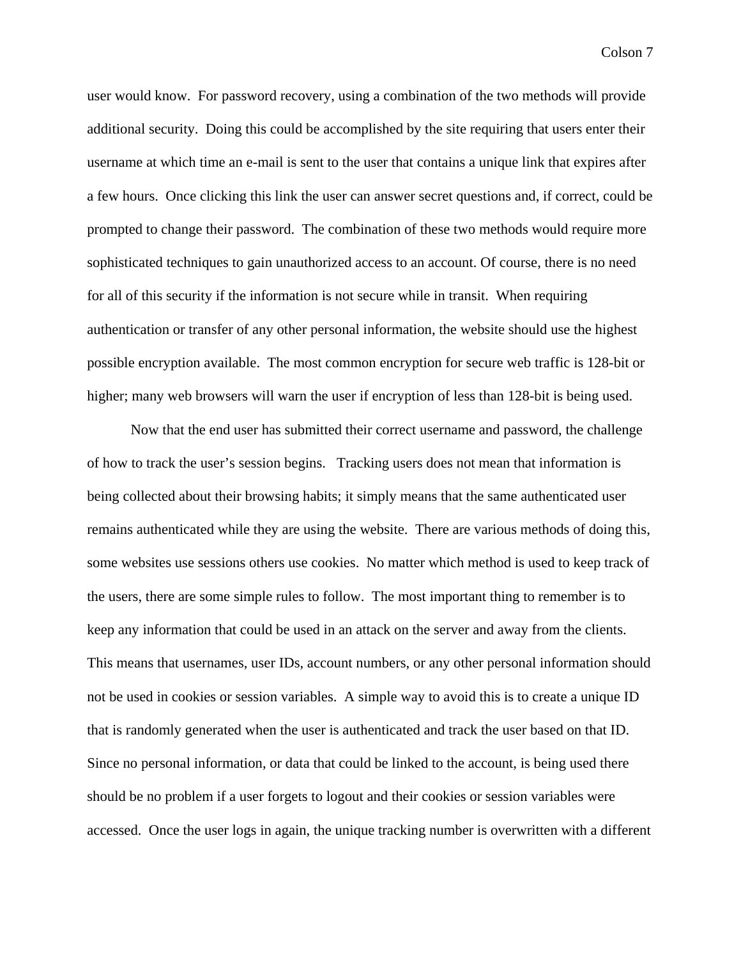user would know. For password recovery, using a combination of the two methods will provide additional security. Doing this could be accomplished by the site requiring that users enter their username at which time an e-mail is sent to the user that contains a unique link that expires after a few hours. Once clicking this link the user can answer secret questions and, if correct, could be prompted to change their password. The combination of these two methods would require more sophisticated techniques to gain unauthorized access to an account. Of course, there is no need for all of this security if the information is not secure while in transit. When requiring authentication or transfer of any other personal information, the website should use the highest possible encryption available. The most common encryption for secure web traffic is 128-bit or higher; many web browsers will warn the user if encryption of less than 128-bit is being used.

Now that the end user has submitted their correct username and password, the challenge of how to track the user's session begins. Tracking users does not mean that information is being collected about their browsing habits; it simply means that the same authenticated user remains authenticated while they are using the website. There are various methods of doing this, some websites use sessions others use cookies. No matter which method is used to keep track of the users, there are some simple rules to follow. The most important thing to remember is to keep any information that could be used in an attack on the server and away from the clients. This means that usernames, user IDs, account numbers, or any other personal information should not be used in cookies or session variables. A simple way to avoid this is to create a unique ID that is randomly generated when the user is authenticated and track the user based on that ID. Since no personal information, or data that could be linked to the account, is being used there should be no problem if a user forgets to logout and their cookies or session variables were accessed. Once the user logs in again, the unique tracking number is overwritten with a different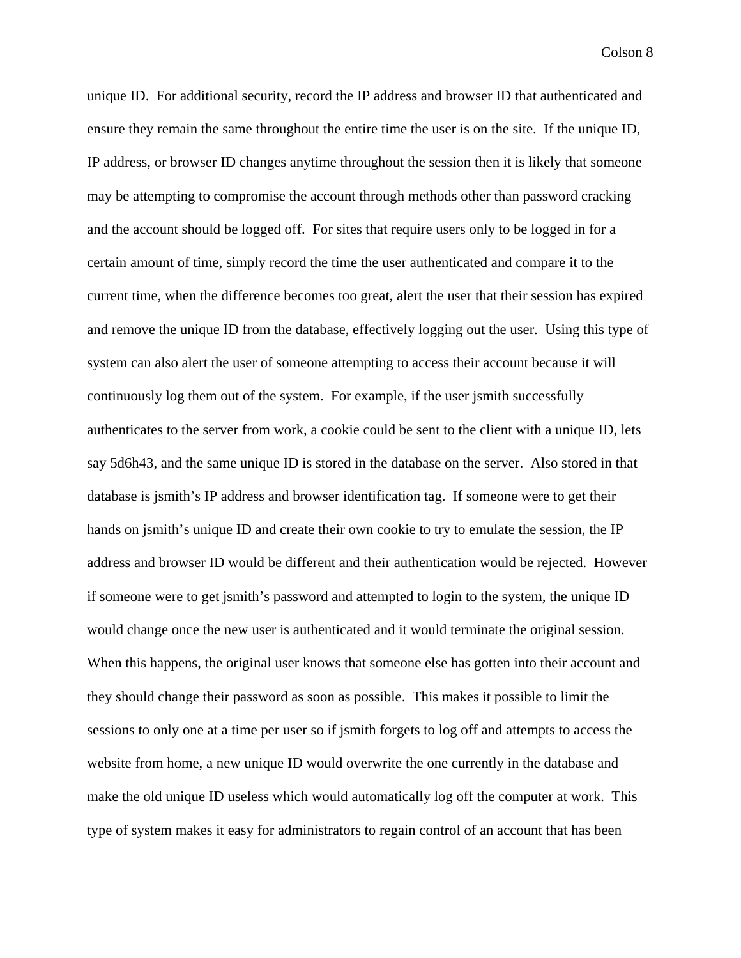unique ID. For additional security, record the IP address and browser ID that authenticated and ensure they remain the same throughout the entire time the user is on the site. If the unique ID, IP address, or browser ID changes anytime throughout the session then it is likely that someone may be attempting to compromise the account through methods other than password cracking and the account should be logged off. For sites that require users only to be logged in for a certain amount of time, simply record the time the user authenticated and compare it to the current time, when the difference becomes too great, alert the user that their session has expired and remove the unique ID from the database, effectively logging out the user. Using this type of system can also alert the user of someone attempting to access their account because it will continuously log them out of the system. For example, if the user jsmith successfully authenticates to the server from work, a cookie could be sent to the client with a unique ID, lets say 5d6h43, and the same unique ID is stored in the database on the server. Also stored in that database is jsmith's IP address and browser identification tag. If someone were to get their hands on jsmith's unique ID and create their own cookie to try to emulate the session, the IP address and browser ID would be different and their authentication would be rejected. However if someone were to get jsmith's password and attempted to login to the system, the unique ID would change once the new user is authenticated and it would terminate the original session. When this happens, the original user knows that someone else has gotten into their account and they should change their password as soon as possible. This makes it possible to limit the sessions to only one at a time per user so if jsmith forgets to log off and attempts to access the website from home, a new unique ID would overwrite the one currently in the database and make the old unique ID useless which would automatically log off the computer at work. This type of system makes it easy for administrators to regain control of an account that has been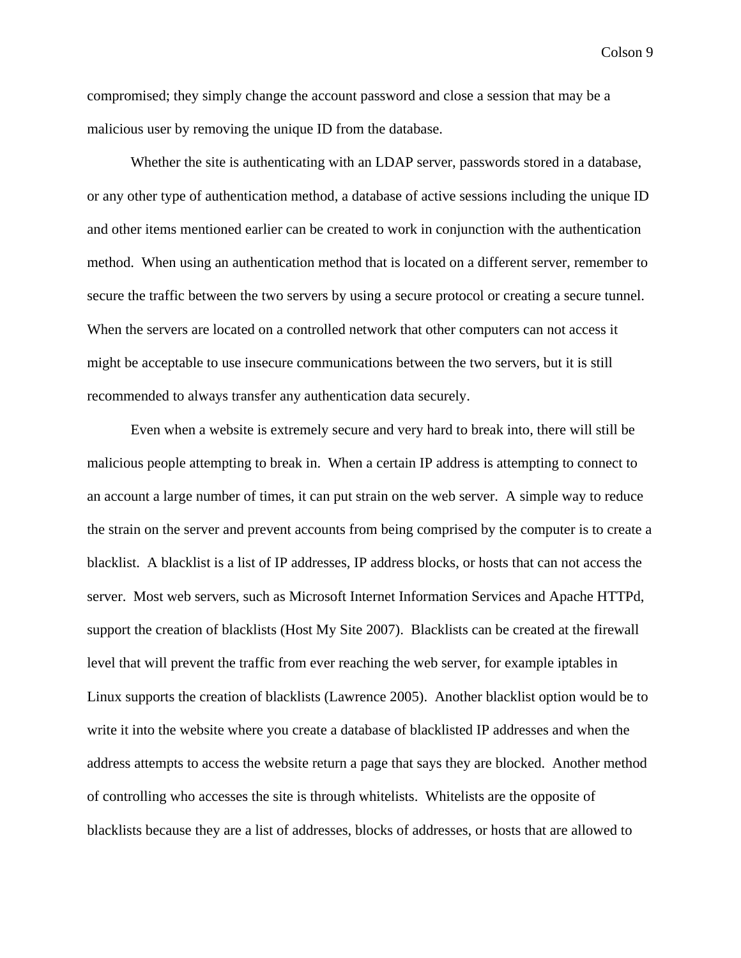compromised; they simply change the account password and close a session that may be a malicious user by removing the unique ID from the database.

Whether the site is authenticating with an LDAP server, passwords stored in a database, or any other type of authentication method, a database of active sessions including the unique ID and other items mentioned earlier can be created to work in conjunction with the authentication method. When using an authentication method that is located on a different server, remember to secure the traffic between the two servers by using a secure protocol or creating a secure tunnel. When the servers are located on a controlled network that other computers can not access it might be acceptable to use insecure communications between the two servers, but it is still recommended to always transfer any authentication data securely.

Even when a website is extremely secure and very hard to break into, there will still be malicious people attempting to break in. When a certain IP address is attempting to connect to an account a large number of times, it can put strain on the web server. A simple way to reduce the strain on the server and prevent accounts from being comprised by the computer is to create a blacklist. A blacklist is a list of IP addresses, IP address blocks, or hosts that can not access the server. Most web servers, such as Microsoft Internet Information Services and Apache HTTPd, support the creation of blacklists (Host My Site 2007). Blacklists can be created at the firewall level that will prevent the traffic from ever reaching the web server, for example iptables in Linux supports the creation of blacklists (Lawrence 2005). Another blacklist option would be to write it into the website where you create a database of blacklisted IP addresses and when the address attempts to access the website return a page that says they are blocked. Another method of controlling who accesses the site is through whitelists. Whitelists are the opposite of blacklists because they are a list of addresses, blocks of addresses, or hosts that are allowed to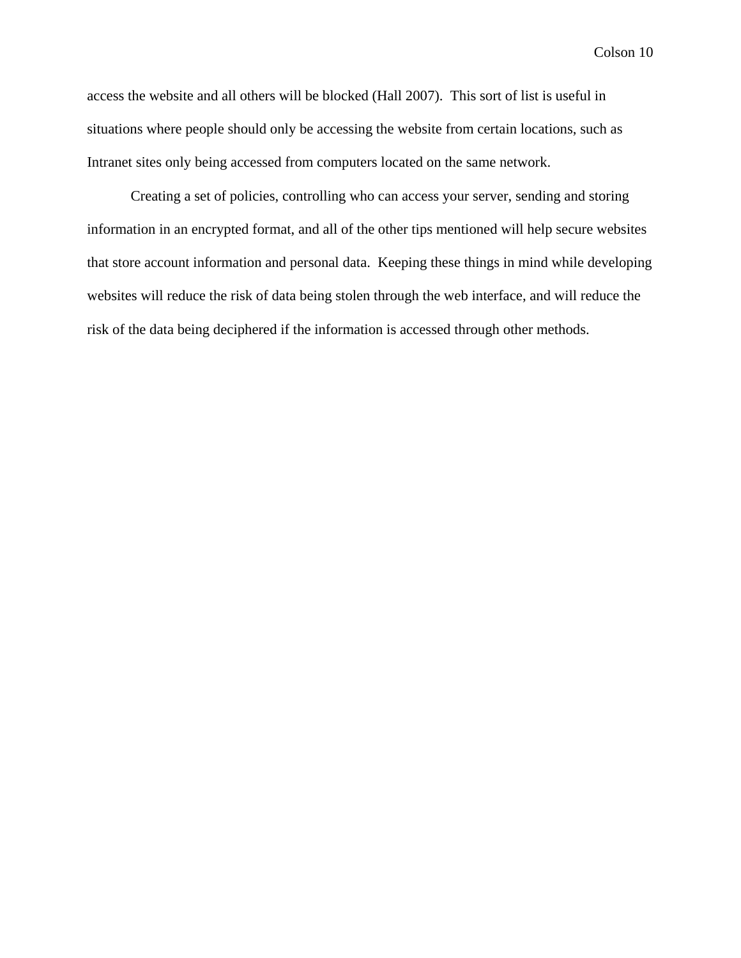access the website and all others will be blocked (Hall 2007). This sort of list is useful in situations where people should only be accessing the website from certain locations, such as Intranet sites only being accessed from computers located on the same network.

Creating a set of policies, controlling who can access your server, sending and storing information in an encrypted format, and all of the other tips mentioned will help secure websites that store account information and personal data. Keeping these things in mind while developing websites will reduce the risk of data being stolen through the web interface, and will reduce the risk of the data being deciphered if the information is accessed through other methods.